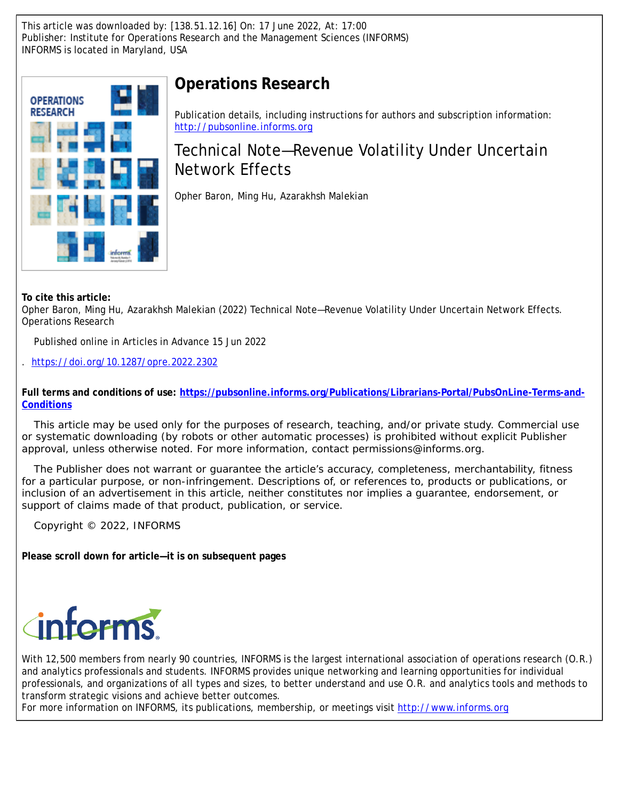This article was downloaded by: [138.51.12.16] On: 17 June 2022, At: 17:00 Publisher: Institute for Operations Research and the Management Sciences (INFORMS) INFORMS is located in Maryland, USA



# **Operations Research**

Publication details, including instructions for authors and subscription information: <http://pubsonline.informs.org>

# Technical Note—Revenue Volatility Under Uncertain Network Effects

Opher Baron, Ming Hu, Azarakhsh Malekian

**To cite this article:**

Opher Baron, Ming Hu, Azarakhsh Malekian (2022) Technical Note—Revenue Volatility Under Uncertain Network Effects. Operations Research

Published online in Articles in Advance 15 Jun 2022

. <https://doi.org/10.1287/opre.2022.2302>

**Full terms and conditions of use: [https://pubsonline.informs.org/Publications/Librarians-Portal/PubsOnLine-Terms-and-](https://pubsonline.informs.org/Publications/Librarians-Portal/PubsOnLine-Terms-and-Conditions)[Conditions](https://pubsonline.informs.org/Publications/Librarians-Portal/PubsOnLine-Terms-and-Conditions)**

This article may be used only for the purposes of research, teaching, and/or private study. Commercial use or systematic downloading (by robots or other automatic processes) is prohibited without explicit Publisher approval, unless otherwise noted. For more information, contact permissions@informs.org.

The Publisher does not warrant or guarantee the article's accuracy, completeness, merchantability, fitness for a particular purpose, or non-infringement. Descriptions of, or references to, products or publications, or inclusion of an advertisement in this article, neither constitutes nor implies a guarantee, endorsement, or support of claims made of that product, publication, or service.

Copyright © 2022, INFORMS

**Please scroll down for article—it is on subsequent pages**



With 12,500 members from nearly 90 countries, INFORMS is the largest international association of operations research (O.R.) and analytics professionals and students. INFORMS provides unique networking and learning opportunities for individual professionals, and organizations of all types and sizes, to better understand and use O.R. and analytics tools and methods to transform strategic visions and achieve better outcomes.

For more information on INFORMS, its publications, membership, or meetings visit <http://www.informs.org>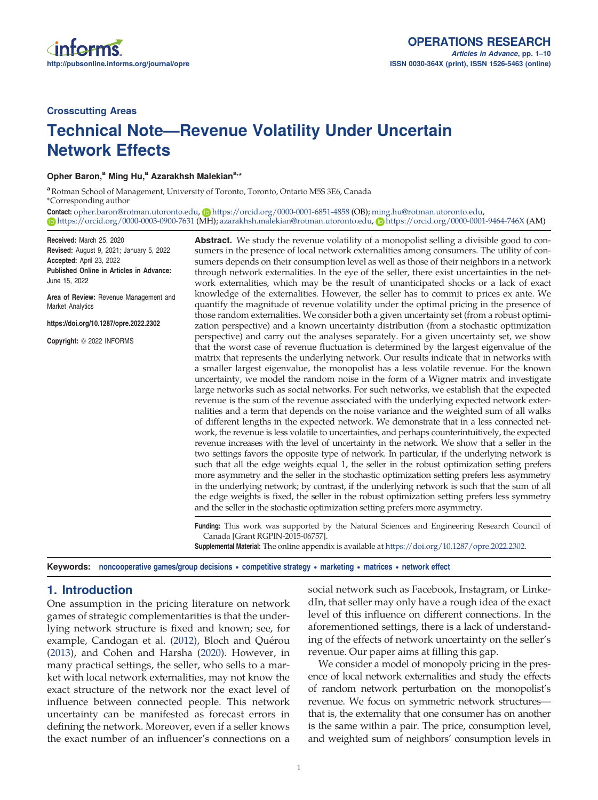## Crosscutting Areas

# Technical Note—Revenue Volatility Under Uncertain Network Effects

Opher Baron,<sup>a</sup> Ming Hu,<sup>a</sup> Azarakhsh Malekian<sup>a,\*</sup>

<sup>a</sup> Rotman School of Management, University of Toronto, Toronto, Ontario M5S 3E6, Canada \*Corresponding author

Contact: [opher.baron@rotman.utoronto.edu,](mailto:opher.baron@rotman.utoronto.edu) <https://orcid.org/0000-0001-6851-4858> (OB); [ming.hu@rotman.utoronto.edu](mailto:ming.hu@rotman.utoronto.edu), <https://orcid.org/0000-0003-0900-7631> (MH); [azarakhsh.malekian@rotman.utoronto.edu,](mailto:azarakhsh.malekian@rotman.utoronto.edu) <https://orcid.org/0000-0001-9464-746X> (AM)

Received: March 25, 2020 Revised: August 9, 2021; January 5, 2022 Accepted: April 23, 2022 Published Online in Articles in Advance: June 15, 2022

Area of Review: Revenue Management and Market Analytics

https://doi.org/10.1287/opre.2022.2302

Copyright: © 2022 INFORMS

Abstract. We study the revenue volatility of a monopolist selling a divisible good to consumers in the presence of local network externalities among consumers. The utility of consumers depends on their consumption level as well as those of their neighbors in a network through network externalities. In the eye of the seller, there exist uncertainties in the network externalities, which may be the result of unanticipated shocks or a lack of exact knowledge of the externalities. However, the seller has to commit to prices ex ante. We quantify the magnitude of revenue volatility under the optimal pricing in the presence of those random externalities. We consider both a given uncertainty set (from a robust optimization perspective) and a known uncertainty distribution (from a stochastic optimization perspective) and carry out the analyses separately. For a given uncertainty set, we show that the worst case of revenue fluctuation is determined by the largest eigenvalue of the matrix that represents the underlying network. Our results indicate that in networks with a smaller largest eigenvalue, the monopolist has a less volatile revenue. For the known uncertainty, we model the random noise in the form of a Wigner matrix and investigate large networks such as social networks. For such networks, we establish that the expected revenue is the sum of the revenue associated with the underlying expected network externalities and a term that depends on the noise variance and the weighted sum of all walks of different lengths in the expected network. We demonstrate that in a less connected network, the revenue is less volatile to uncertainties, and perhaps counterintuitively, the expected revenue increases with the level of uncertainty in the network. We show that a seller in the two settings favors the opposite type of network. In particular, if the underlying network is such that all the edge weights equal 1, the seller in the robust optimization setting prefers more asymmetry and the seller in the stochastic optimization setting prefers less asymmetry in the underlying network; by contrast, if the underlying network is such that the sum of all the edge weights is fixed, the seller in the robust optimization setting prefers less symmetry and the seller in the stochastic optimization setting prefers more asymmetry.

Funding: This work was supported by the Natural Sciences and Engineering Research Council of Canada [Grant RGPIN-2015-06757].

Supplemental Material: The online appendix is available at <https://doi.org/10.1287/opre.2022.2302>.

Keywords: noncooperative games/group decisions • competitive strategy • marketing • matrices • network effect

## 1. Introduction

One assumption in the pricing literature on network games of strategic complementarities is that the underlying network structure is fixed and known; see, for example, Candogan et al. ([2012\)](#page-10-0), Bloch and Quérou [\(2013\)](#page-10-0), and Cohen and Harsha [\(2020](#page-10-0)). However, in many practical settings, the seller, who sells to a market with local network externalities, may not know the exact structure of the network nor the exact level of influence between connected people. This network uncertainty can be manifested as forecast errors in defining the network. Moreover, even if a seller knows the exact number of an influencer's connections on a

social network such as Facebook, Instagram, or LinkedIn, that seller may only have a rough idea of the exact level of this influence on different connections. In the aforementioned settings, there is a lack of understanding of the effects of network uncertainty on the seller's revenue. Our paper aims at filling this gap.

We consider a model of monopoly pricing in the presence of local network externalities and study the effects of random network perturbation on the monopolist's revenue. We focus on symmetric network structures that is, the externality that one consumer has on another is the same within a pair. The price, consumption level, and weighted sum of neighbors' consumption levels in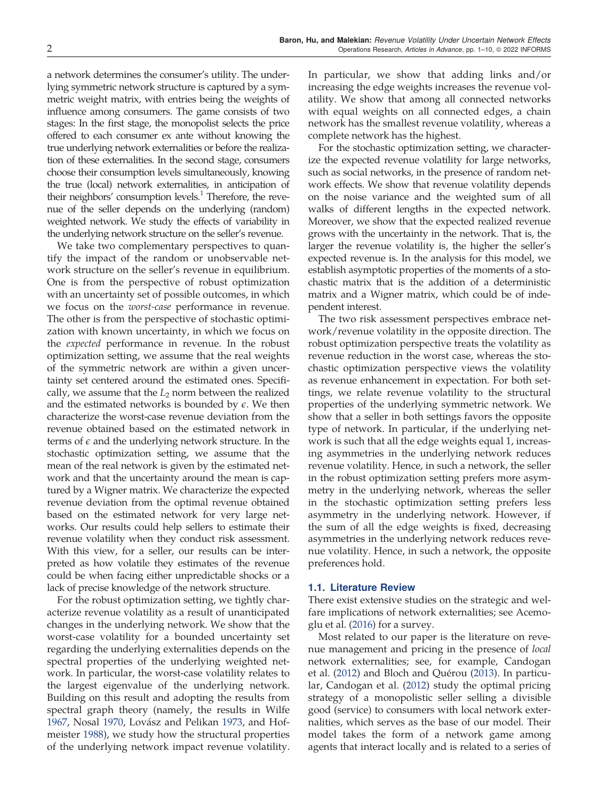a network determines the consumer's utility. The underlying symmetric network structure is captured by a symmetric weight matrix, with entries being the weights of influence among consumers. The game consists of two stages: In the first stage, the monopolist selects the price offered to each consumer ex ante without knowing the true underlying network externalities or before the realization of these externalities. In the second stage, consumers choose their consumption levels simultaneously, knowing the true (local) network externalities, in anticipation of their neighbors' consumption levels. $<sup>1</sup>$  $<sup>1</sup>$  $<sup>1</sup>$  Therefore, the reve-</sup> nue of the seller depends on the underlying (random) weighted network. We study the effects of variability in the underlying network structure on the seller's revenue.

We take two complementary perspectives to quantify the impact of the random or unobservable network structure on the seller's revenue in equilibrium. One is from the perspective of robust optimization with an uncertainty set of possible outcomes, in which we focus on the worst-case performance in revenue. The other is from the perspective of stochastic optimization with known uncertainty, in which we focus on the *expected* performance in revenue. In the robust optimization setting, we assume that the real weights of the symmetric network are within a given uncertainty set centered around the estimated ones. Specifically, we assume that the  $L_2$  norm between the realized and the estimated networks is bounded by  $\epsilon$ . We then characterize the worst-case revenue deviation from the revenue obtained based on the estimated network in terms of  $\epsilon$  and the underlying network structure. In the stochastic optimization setting, we assume that the mean of the real network is given by the estimated network and that the uncertainty around the mean is captured by a Wigner matrix. We characterize the expected revenue deviation from the optimal revenue obtained based on the estimated network for very large networks. Our results could help sellers to estimate their revenue volatility when they conduct risk assessment. With this view, for a seller, our results can be interpreted as how volatile they estimates of the revenue could be when facing either unpredictable shocks or a lack of precise knowledge of the network structure.

For the robust optimization setting, we tightly characterize revenue volatility as a result of unanticipated changes in the underlying network. We show that the worst-case volatility for a bounded uncertainty set regarding the underlying externalities depends on the spectral properties of the underlying weighted network. In particular, the worst-case volatility relates to the largest eigenvalue of the underlying network. Building on this result and adopting the results from spectral graph theory (namely, the results in Wilfe [1967,](#page-10-0) Nosal [1970](#page-10-0), Lovász and Pelikan [1973](#page-10-0), and Hofmeister [1988](#page-10-0)), we study how the structural properties of the underlying network impact revenue volatility. In particular, we show that adding links and/or increasing the edge weights increases the revenue volatility. We show that among all connected networks with equal weights on all connected edges, a chain network has the smallest revenue volatility, whereas a complete network has the highest.

For the stochastic optimization setting, we characterize the expected revenue volatility for large networks, such as social networks, in the presence of random network effects. We show that revenue volatility depends on the noise variance and the weighted sum of all walks of different lengths in the expected network. Moreover, we show that the expected realized revenue grows with the uncertainty in the network. That is, the larger the revenue volatility is, the higher the seller's expected revenue is. In the analysis for this model, we establish asymptotic properties of the moments of a stochastic matrix that is the addition of a deterministic matrix and a Wigner matrix, which could be of independent interest.

The two risk assessment perspectives embrace network/revenue volatility in the opposite direction. The robust optimization perspective treats the volatility as revenue reduction in the worst case, whereas the stochastic optimization perspective views the volatility as revenue enhancement in expectation. For both settings, we relate revenue volatility to the structural properties of the underlying symmetric network. We show that a seller in both settings favors the opposite type of network. In particular, if the underlying network is such that all the edge weights equal 1, increasing asymmetries in the underlying network reduces revenue volatility. Hence, in such a network, the seller in the robust optimization setting prefers more asymmetry in the underlying network, whereas the seller in the stochastic optimization setting prefers less asymmetry in the underlying network. However, if the sum of all the edge weights is fixed, decreasing asymmetries in the underlying network reduces revenue volatility. Hence, in such a network, the opposite preferences hold.

### 1.1. Literature Review

There exist extensive studies on the strategic and welfare implications of network externalities; see Acemoglu et al. ([2016](#page-10-0)) for a survey.

Most related to our paper is the literature on revenue management and pricing in the presence of local network externalities; see, for example, Candogan et al. [\(2012](#page-10-0)) and Bloch and Quérou ([2013](#page-10-0)). In particular, Candogan et al. [\(2012](#page-10-0)) study the optimal pricing strategy of a monopolistic seller selling a divisible good (service) to consumers with local network externalities, which serves as the base of our model. Their model takes the form of a network game among agents that interact locally and is related to a series of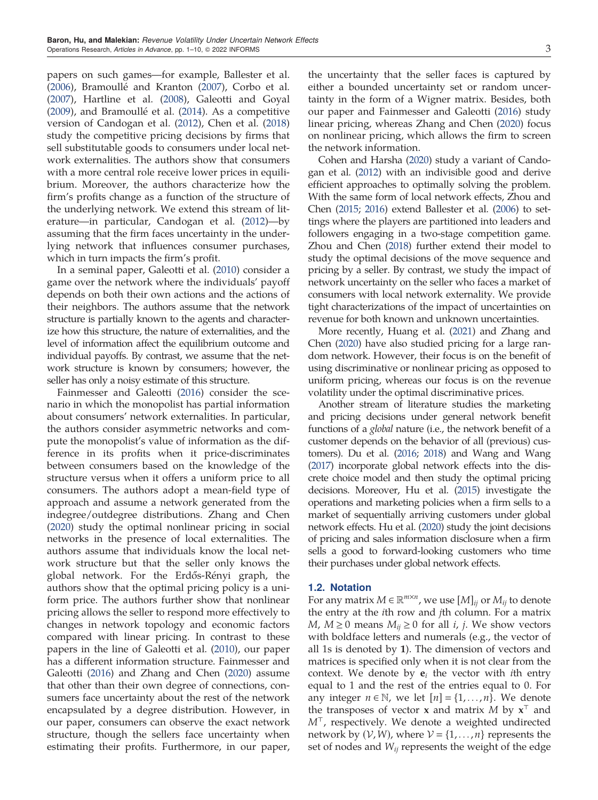papers on such games—for example, Ballester et al.  $(2006)$ , Bramoullé and Kranton  $(2007)$  $(2007)$ , Corbo et al. [\(2007\)](#page-10-0), Hartline et al. ([2008\)](#page-10-0), Galeotti and Goyal  $(2009)$ , and Bramoullé et al.  $(2014)$  $(2014)$ . As a competitive version of Candogan et al. [\(2012\)](#page-10-0), Chen et al. [\(2018](#page-10-0)) study the competitive pricing decisions by firms that sell substitutable goods to consumers under local network externalities. The authors show that consumers with a more central role receive lower prices in equilibrium. Moreover, the authors characterize how the firm's profits change as a function of the structure of the underlying network. We extend this stream of literature—in particular, Candogan et al. ([2012](#page-10-0))—by assuming that the firm faces uncertainty in the underlying network that influences consumer purchases, which in turn impacts the firm's profit.

In a seminal paper, Galeotti et al. ([2010](#page-10-0)) consider a game over the network where the individuals' payoff depends on both their own actions and the actions of their neighbors. The authors assume that the network structure is partially known to the agents and characterize how this structure, the nature of externalities, and the level of information affect the equilibrium outcome and individual payoffs. By contrast, we assume that the network structure is known by consumers; however, the seller has only a noisy estimate of this structure.

Fainmesser and Galeotti ([2016](#page-10-0)) consider the scenario in which the monopolist has partial information about consumers' network externalities. In particular, the authors consider asymmetric networks and compute the monopolist's value of information as the difference in its profits when it price-discriminates between consumers based on the knowledge of the structure versus when it offers a uniform price to all consumers. The authors adopt a mean-field type of approach and assume a network generated from the indegree/outdegree distributions. Zhang and Chen [\(2020\)](#page-10-0) study the optimal nonlinear pricing in social networks in the presence of local externalities. The authors assume that individuals know the local network structure but that the seller only knows the global network. For the Erdős-Rényi graph, the authors show that the optimal pricing policy is a uniform price. The authors further show that nonlinear pricing allows the seller to respond more effectively to changes in network topology and economic factors compared with linear pricing. In contrast to these papers in the line of Galeotti et al. ([2010](#page-10-0)), our paper has a different information structure. Fainmesser and Galeotti ([2016](#page-10-0)) and Zhang and Chen [\(2020\)](#page-10-0) assume that other than their own degree of connections, consumers face uncertainty about the rest of the network encapsulated by a degree distribution. However, in our paper, consumers can observe the exact network structure, though the sellers face uncertainty when estimating their profits. Furthermore, in our paper, the uncertainty that the seller faces is captured by either a bounded uncertainty set or random uncertainty in the form of a Wigner matrix. Besides, both our paper and Fainmesser and Galeotti [\(2016\)](#page-10-0) study linear pricing, whereas Zhang and Chen [\(2020\)](#page-10-0) focus on nonlinear pricing, which allows the firm to screen the network information.

Cohen and Harsha [\(2020](#page-10-0)) study a variant of Candogan et al. [\(2012](#page-10-0)) with an indivisible good and derive efficient approaches to optimally solving the problem. With the same form of local network effects, Zhou and Chen [\(2015;](#page-10-0) [2016](#page-10-0)) extend Ballester et al. [\(2006](#page-10-0)) to settings where the players are partitioned into leaders and followers engaging in a two-stage competition game. Zhou and Chen [\(2018\)](#page-10-0) further extend their model to study the optimal decisions of the move sequence and pricing by a seller. By contrast, we study the impact of network uncertainty on the seller who faces a market of consumers with local network externality. We provide tight characterizations of the impact of uncertainties on revenue for both known and unknown uncertainties.

More recently, Huang et al. ([2021](#page-10-0)) and Zhang and Chen [\(2020](#page-10-0)) have also studied pricing for a large random network. However, their focus is on the benefit of using discriminative or nonlinear pricing as opposed to uniform pricing, whereas our focus is on the revenue volatility under the optimal discriminative prices.

Another stream of literature studies the marketing and pricing decisions under general network benefit functions of a global nature (i.e., the network benefit of a customer depends on the behavior of all (previous) customers). Du et al. ([2016](#page-10-0); [2018](#page-10-0)) and Wang and Wang ([2017](#page-10-0)) incorporate global network effects into the discrete choice model and then study the optimal pricing decisions. Moreover, Hu et al. [\(2015](#page-10-0)) investigate the operations and marketing policies when a firm sells to a market of sequentially arriving customers under global network effects. Hu et al. [\(2020](#page-10-0)) study the joint decisions of pricing and sales information disclosure when a firm sells a good to forward-looking customers who time their purchases under global network effects.

### 1.2. Notation

For any matrix  $M \in \mathbb{R}^{m \times n}$ , we use  $[M]_{ij}$  or  $M_{ij}$  to denote the entry at the ith row and jth column. For a matrix *M*, *M* ≥ 0 means  $M_{ij}$  ≥ 0 for all *i*, *j*. We show vectors with boldface letters and numerals (e.g., the vector of all 1s is denoted by 1). The dimension of vectors and matrices is specified only when it is not clear from the context. We denote by  $e_i$  the vector with *i*th entry equal to 1 and the rest of the entries equal to 0. For any integer  $n \in \mathbb{N}$ , we let  $[n] = \{1, \ldots, n\}$ . We denote the transposes of vector **x** and matrix M by  $x^T$  and  $M<sup>T</sup>$ , respectively. We denote a weighted undirected network by  $(V, W)$ , where  $V = \{1, \ldots, n\}$  represents the set of nodes and  $W_{ij}$  represents the weight of the edge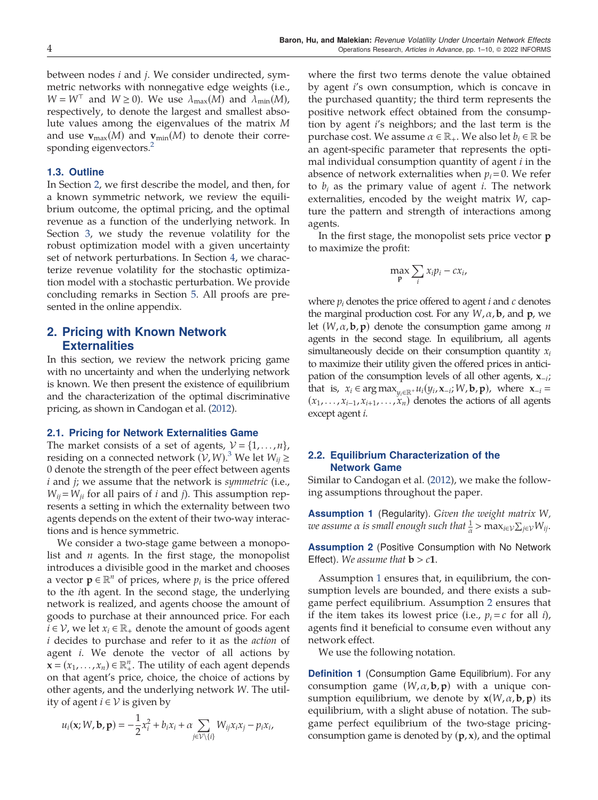<span id="page-4-0"></span>between nodes i and j. We consider undirected, symmetric networks with nonnegative edge weights (i.e.,  $W = W<sup>T</sup>$  and  $W \ge 0$ ). We use  $\lambda_{\text{max}}(M)$  and  $\lambda_{\text{min}}(M)$ , respectively, to denote the largest and smallest absolute values among the eigenvalues of the matrix M and use  $\mathbf{v}_{\text{max}}(M)$  and  $\mathbf{v}_{\text{min}}(M)$  to denote their corresponding eigenvectors.<sup>2</sup>

## 1.3. Outline

In Section 2, we first describe the model, and then, for a known symmetric network, we review the equilibrium outcome, the optimal pricing, and the optimal revenue as a function of the underlying network. In Section [3](#page-5-0), we study the revenue volatility for the robust optimization model with a given uncertainty set of network perturbations. In Section [4](#page-7-0), we characterize revenue volatility for the stochastic optimization model with a stochastic perturbation. We provide concluding remarks in Section [5.](#page-9-0) All proofs are presented in the online appendix.

## 2. Pricing with Known Network **Externalities**

In this section, we review the network pricing game with no uncertainty and when the underlying network is known. We then present the existence of equilibrium and the characterization of the optimal discriminative pricing, as shown in Candogan et al. [\(2012](#page-10-0)).

#### 2.1. Pricing for Network Externalities Game

The market consists of a set of agents,  $V = \{1, \ldots, n\}$ , residing on a connected network  $(V, W)$ .<sup>[3](#page-10-0)</sup> We let  $W_{ij} \geq$ 0 denote the strength of the peer effect between agents i and j; we assume that the network is *symmetric* (i.e.,  $W_{ij} = W_{ji}$  for all pairs of *i* and *j*). This assumption represents a setting in which the externality between two agents depends on the extent of their two-way interactions and is hence symmetric.

We consider a two-stage game between a monopolist and  $n$  agents. In the first stage, the monopolist introduces a divisible good in the market and chooses a vector  $\mathbf{p} \in \mathbb{R}^n$  of prices, where  $p_i$  is the price offered to the ith agent. In the second stage, the underlying network is realized, and agents choose the amount of goods to purchase at their announced price. For each *i* ∈  $V$ , we let  $x_i$  ∈  $\mathbb{R}_+$  denote the amount of goods agent i decides to purchase and refer to it as the action of agent *i*. We denote the vector of all actions by  $\mathbf{x} = (x_1, \dots, x_n) \in \mathbb{R}_+^n$ . The utility of each agent depends<br>on that agent's price, choice, the choice of actions by on that agent's price, choice, the choice of actions by other agents, and the underlying network W. The utility of agent  $i ∈ V$  is given by

$$
u_i(\mathbf{x}; W, \mathbf{b}, \mathbf{p}) = -\frac{1}{2}x_i^2 + b_i x_i + \alpha \sum_{j \in \mathcal{V} \setminus \{i\}} W_{ij} x_i x_j - p_i x_i,
$$

where the first two terms denote the value obtained by agent i's own consumption, which is concave in the purchased quantity; the third term represents the positive network effect obtained from the consumption by agent i's neighbors; and the last term is the purchase cost. We assume  $\alpha \in \mathbb{R}_+$ . We also let  $b_i \in \mathbb{R}$  be an agent-specific parameter that represents the optimal individual consumption quantity of agent  $i$  in the absence of network externalities when  $p_i=0$ . We refer to  $b_i$  as the primary value of agent *i*. The network externalities, encoded by the weight matrix W, capture the pattern and strength of interactions among agents.

In the first stage, the monopolist sets price vector p to maximize the profit:

$$
\max_{\mathbf{p}} \sum_{i} x_i p_i - c x_i,
$$

where  $p_i$  denotes the price offered to agent  $i$  and  $c$  denotes the marginal production cost. For any  $W, \alpha$ , **b**, and **p**, we let  $(W, \alpha, \mathbf{b}, \mathbf{p})$  denote the consumption game among *n* agents in the second stage. In equilibrium, all agents simultaneously decide on their consumption quantity  $x_i$ to maximize their utility given the offered prices in anticipation of the consumption levels of all other agents,  $x_{-i}$ ; that is,  $x_i \in \arg \max_{y_i \in \mathbb{R}^+} u_i(y_i, \mathbf{x}_{-i}; W, \mathbf{b}, \mathbf{p})$ , where  $\mathbf{x}_{-i} =$  $(x_1,...,x_{i-1},x_{i+1},...,x_n)$  denotes the actions of all agents except agent i.

## 2.2. Equilibrium Characterization of the Network Game

Similar to Candogan et al. [\(2012\)](#page-10-0), we make the following assumptions throughout the paper.

**Assumption 1** (Regularity). Given the weight matrix W, we assume  $\alpha$  is small enough such that  $\frac{1}{\alpha}$   $>$   $\max_{i\in\mathcal{V}}\sum_{j\in\mathcal{V}}W_{ij}.$ 

Assumption 2 (Positive Consumption with No Network Effect). We assume that  $\mathbf{b} > c\mathbf{1}$ .

Assumption 1 ensures that, in equilibrium, the consumption levels are bounded, and there exists a subgame perfect equilibrium. Assumption 2 ensures that if the item takes its lowest price (i.e.,  $p_i = c$  for all i), agents find it beneficial to consume even without any network effect.

We use the following notation.

**Definition 1** (Consumption Game Equilibrium). For any consumption game  $(W, \alpha, \mathbf{b}, \mathbf{p})$  with a unique consumption equilibrium, we denote by  $\mathbf{x}(W, \alpha, \mathbf{b}, \mathbf{p})$  its equilibrium, with a slight abuse of notation. The subgame perfect equilibrium of the two-stage pricingconsumption game is denoted by  $(p, x)$ , and the optimal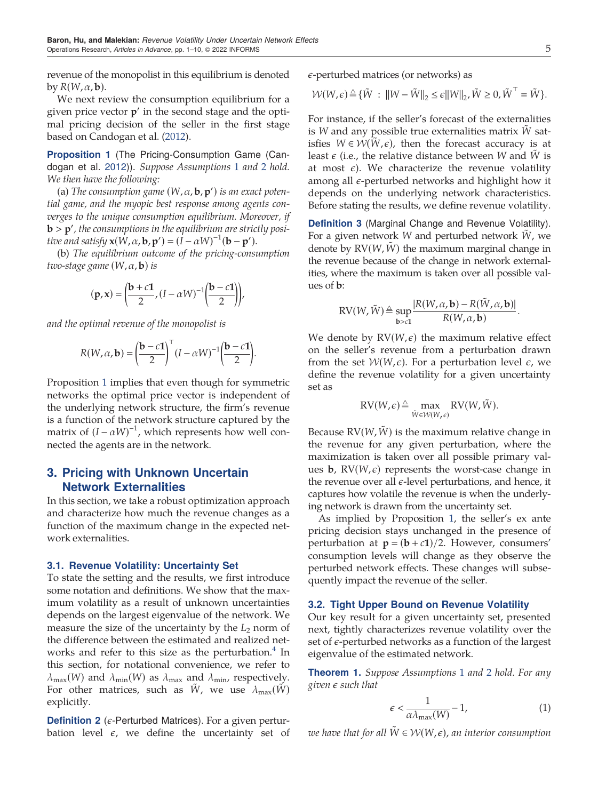<span id="page-5-0"></span>revenue of the monopolist in this equilibrium is denoted by  $R(W, \alpha, \mathbf{b})$ .

We next review the consumption equilibrium for a given price vector  $p'$  in the second stage and the optimal pricing decision of the seller in the first stage based on Candogan et al. ([2012](#page-10-0)).

Proposition 1 (The Pricing-Consumption Game (Candogan et al. [2012\)](#page-10-0)). Suppose Assumptions [1](#page-4-0) and [2](#page-4-0) hold. We then have the following:

(a) The consumption game  $(W, α, b, p')$  is an exact poten-<br>Logme, and the muonic hest response among agents contial game, and the myopic best response among agents converges to the unique consumption equilibrium. Moreover, if **b** > **p**', the consumptions in the equilibrium are strictly positional satisfy  $\mathbf{x}(M \propto \mathbf{h} \mathbf{x}') = (I - \alpha M)^{-1}(\mathbf{h} - \mathbf{n}')$ tive and satisfy  $\mathbf{x}(W, \alpha, \mathbf{b}, \mathbf{p}') = (I - \alpha W)^{-1}(\mathbf{b} - \mathbf{p}')$ .<br>
(b) The equilibrium outcome of the pricing-const

(b) The equilibrium outcome of the pricing-consumption two-stage game  $(W, \alpha, \mathbf{b})$  is

$$
(\mathbf{p}, \mathbf{x}) = \left(\frac{\mathbf{b} + c\mathbf{1}}{2}, (I - \alpha W)^{-1}\left(\frac{\mathbf{b} - c\mathbf{1}}{2}\right)\right),
$$

and the optimal revenue of the monopolist is

$$
R(W, \alpha, \mathbf{b}) = \left(\frac{\mathbf{b} - c\mathbf{1}}{2}\right)^{\top} (I - \alpha W)^{-1} \left(\frac{\mathbf{b} - c\mathbf{1}}{2}\right).
$$

Proposition 1 implies that even though for symmetric networks the optimal price vector is independent of the underlying network structure, the firm's revenue is a function of the network structure captured by the matrix of  $(I - \alpha W)^{-1}$ , which represents how well connected the agents are in the network.

## 3. Pricing with Unknown Uncertain Network Externalities

In this section, we take a robust optimization approach and characterize how much the revenue changes as a function of the maximum change in the expected network externalities.

### 3.1. Revenue Volatility: Uncertainty Set

To state the setting and the results, we first introduce some notation and definitions. We show that the maximum volatility as a result of unknown uncertainties depends on the largest eigenvalue of the network. We measure the size of the uncertainty by the  $L_2$  norm of the difference between the estimated and realized networks and refer to this size as the perturbation.<sup>4</sup> In this section, for notational convenience, we refer to  $\lambda_{\max}(W)$  and  $\lambda_{\min}(W)$  as  $\lambda_{\max}$  and  $\lambda_{\min}$ , respectively. For other matrices, such as  $\tilde{W}$ , we use  $\lambda_{\max}(\tilde{W})$ explicitly.

**Definition 2** ( $\epsilon$ -Perturbed Matrices). For a given perturbation level  $\epsilon$ , we define the uncertainty set of  $\epsilon$ -perturbed matrices (or networks) as

$$
\mathcal{W}(W,\epsilon) \triangleq \{ \tilde{W} : ||W - \tilde{W}||_2 \leq \epsilon ||W||_2, \tilde{W} \geq 0, \tilde{W}^\top = \tilde{W} \}.
$$

For instance, if the seller's forecast of the externalities is  $W$  and any possible true externalities matrix  $W$  satisfies  $W \in \mathcal{W}(W,\epsilon)$ , then the forecast accuracy is at least  $\epsilon$  (i.e., the relative distance between W and  $\hat{W}$  is at most  $\epsilon$ ). We characterize the revenue volatility among all  $\epsilon$ -perturbed networks and highlight how it depends on the underlying network characteristics. Before stating the results, we define revenue volatility.

Definition 3 (Marginal Change and Revenue Volatility). For a given network W and perturbed network  $\tilde{W}$ , we denote by  $RV(W, W)$  the maximum marginal change in the revenue because of the change in network externalities, where the maximum is taken over all possible values of b:

$$
RV(W, \tilde{W}) \triangleq \sup_{\mathbf{b} > c1} \frac{|R(W, \alpha, \mathbf{b}) - R(\tilde{W}, \alpha, \mathbf{b})|}{R(W, \alpha, \mathbf{b})}.
$$

We denote by  $RV(W, \epsilon)$  the maximum relative effect on the seller's revenue from a perturbation drawn from the set  $W(W, \epsilon)$ . For a perturbation level  $\epsilon$ , we define the revenue volatility for a given uncertainty set as

$$
RV(W,\epsilon) \triangleq \max_{\tilde{W}\in\mathcal{W}(W,\epsilon)} RV(W,\tilde{W}).
$$

Because  $RV(W, \hat{W})$  is the maximum relative change in the revenue for any given perturbation, where the maximization is taken over all possible primary values **b**,  $RV(W, \epsilon)$  represents the worst-case change in the revenue over all  $\epsilon$ -level perturbations, and hence, it captures how volatile the revenue is when the underlying network is drawn from the uncertainty set.

As implied by Proposition 1, the seller's ex ante pricing decision stays unchanged in the presence of perturbation at  $\mathbf{p} = (\mathbf{b} + c\mathbf{1})/2$ . However, consumers' consumption levels will change as they observe the perturbed network effects. These changes will subsequently impact the revenue of the seller.

#### 3.2. Tight Upper Bound on Revenue Volatility

Our key result for a given uncertainty set, presented next, tightly characterizes revenue volatility over the set of  $\epsilon$ -perturbed networks as a function of the largest eigenvalue of the estimated network.

**Theorem [1](#page-4-0).** Suppose Assumptions 1 and [2](#page-4-0) hold. For any given  $\epsilon$  such that

$$
\epsilon < \frac{1}{\alpha \lambda_{\max}(W)} - 1,\tag{1}
$$

we have that for all  $\tilde{W} \in \mathcal{W}(W, \epsilon)$ , an interior consumption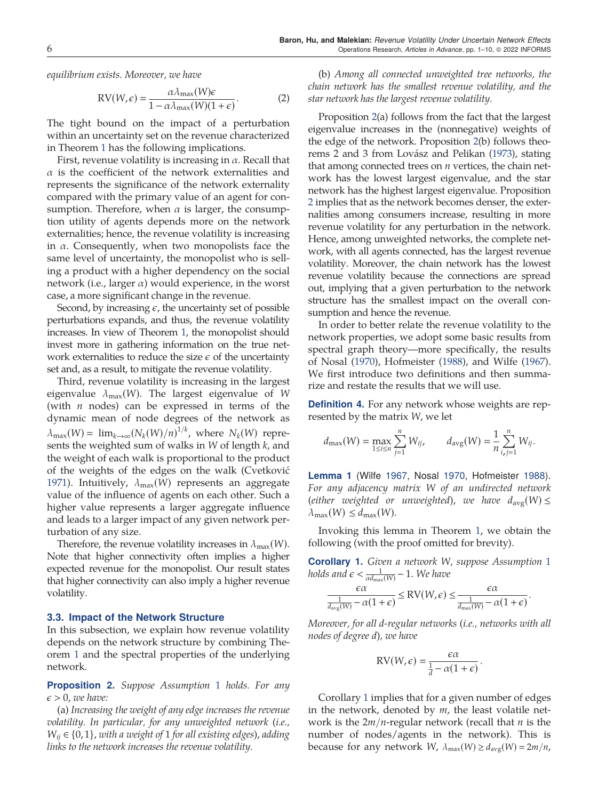<span id="page-6-0"></span>equilibrium exists. Moreover, we have

$$
RV(W,\epsilon) = \frac{\alpha \lambda_{\max}(W)\epsilon}{1 - \alpha \lambda_{\max}(W)(1+\epsilon)}.
$$
 (2)

The tight bound on the impact of a perturbation within an uncertainty set on the revenue characterized in Theorem [1](#page-5-0) has the following implications.

First, revenue volatility is increasing in  $\alpha$ . Recall that  $\alpha$  is the coefficient of the network externalities and represents the significance of the network externality compared with the primary value of an agent for consumption. Therefore, when  $\alpha$  is larger, the consumption utility of agents depends more on the network externalities; hence, the revenue volatility is increasing in  $\alpha$ . Consequently, when two monopolists face the same level of uncertainty, the monopolist who is selling a product with a higher dependency on the social network (i.e., larger  $\alpha$ ) would experience, in the worst case, a more significant change in the revenue.

Second, by increasing  $\epsilon$ , the uncertainty set of possible perturbations expands, and thus, the revenue volatility increases. In view of Theorem [1,](#page-5-0) the monopolist should invest more in gathering information on the true network externalities to reduce the size  $\epsilon$  of the uncertainty set and, as a result, to mitigate the revenue volatility.

Third, revenue volatility is increasing in the largest eigenvalue  $\lambda_{\text{max}}(W)$ . The largest eigenvalue of W (with  $n$  nodes) can be expressed in terms of the dynamic mean of node degrees of the network as  $\lambda_{\max}(W) = \lim_{k \to \infty} (N_k(W)/n)^{1/k}$ , where  $N_k(W)$  represents the weighted sum of walks in  $W$  of length  $k$ , and the weight of each walk is proportional to the product of the weights of the edges on the walk (Cvetkovic´ [1971\)](#page-10-0). Intuitively,  $\lambda_{\text{max}}(W)$  represents an aggregate value of the influence of agents on each other. Such a higher value represents a larger aggregate influence and leads to a larger impact of any given network perturbation of any size.

Therefore, the revenue volatility increases in  $\lambda_{\max}(W)$ . Note that higher connectivity often implies a higher expected revenue for the monopolist. Our result states that higher connectivity can also imply a higher revenue volatility.

#### 3.3. Impact of the Network Structure

In this subsection, we explain how revenue volatility depends on the network structure by combining Theorem [1](#page-5-0) and the spectral properties of the underlying network.

**Proposition 2.** Suppose Assumption [1](#page-4-0) holds. For any  $\epsilon > 0$ , we have:

(a) Increasing the weight of any edge increases the revenue volatility. In particular, for any unweighted network (i.e.,  $W_{ii} \in \{0, 1\}$ , with a weight of 1 for all existing edges), adding links to the network increases the revenue volatility.

(b) Among all connected unweighted tree networks, the chain network has the smallest revenue volatility, and the star network has the largest revenue volatility.

Proposition 2(a) follows from the fact that the largest eigenvalue increases in the (nonnegative) weights of the edge of the network. Proposition 2(b) follows theo-rems 2 and 3 from Lovász and Pelikan ([1973\)](#page-10-0), stating that among connected trees on  $n$  vertices, the chain network has the lowest largest eigenvalue, and the star network has the highest largest eigenvalue. Proposition 2 implies that as the network becomes denser, the externalities among consumers increase, resulting in more revenue volatility for any perturbation in the network. Hence, among unweighted networks, the complete network, with all agents connected, has the largest revenue volatility. Moreover, the chain network has the lowest revenue volatility because the connections are spread out, implying that a given perturbation to the network structure has the smallest impact on the overall consumption and hence the revenue.

In order to better relate the revenue volatility to the network properties, we adopt some basic results from spectral graph theory—more specifically, the results of Nosal ([1970\)](#page-10-0), Hofmeister ([1988](#page-10-0)), and Wilfe ([1967](#page-10-0)). We first introduce two definitions and then summarize and restate the results that we will use.

Definition 4. For any network whose weights are represented by the matrix W, we let

$$
d_{\max}(W) = \max_{1 \le i \le n} \sum_{j=1}^n W_{ij}, \qquad d_{\text{avg}}(W) = \frac{1}{n} \sum_{i,j=1}^n W_{ij}.
$$

Lemma 1 (Wilfe [1967](#page-10-0), Nosal [1970,](#page-10-0) Hofmeister [1988](#page-10-0)). For any adjacency matrix W of an undirected network (either weighted or unweighted), we have  $d_{\text{avg}}(W) \le$  $\lambda_{\max}(W) \leq d_{\max}(W)$ .

Invoking this lemma in Theorem [1](#page-5-0), we obtain the following (with the proof omitted for brevity).

**Corollary [1](#page-4-0).** Given a network W, suppose Assumption 1 holds and  $\epsilon < \frac{1}{\alpha d_{\max}(W)} - 1$ . We have

$$
\frac{\epsilon\alpha}{\frac{1}{d_{\mathrm{avg}}(W)}-\alpha(1+\epsilon)}\leq \mathrm{RV}(W,\epsilon)\leq \frac{\epsilon\alpha}{\frac{1}{d_{\mathrm{max}}(W)}-\alpha(1+\epsilon)}
$$

:

Moreover, for all d-regular networks (i.e., networks with all nodes of degree d), we have

$$
RV(W, \epsilon) = \frac{\epsilon \alpha}{\frac{1}{d} - \alpha (1 + \epsilon)}
$$

:

Corollary 1 implies that for a given number of edges in the network, denoted by  $m$ , the least volatile network is the  $2m/n$ -regular network (recall that *n* is the number of nodes/agents in the network). This is because for any network W,  $\lambda_{\text{max}}(W) \ge d_{\text{avg}}(W) = 2m/n$ ,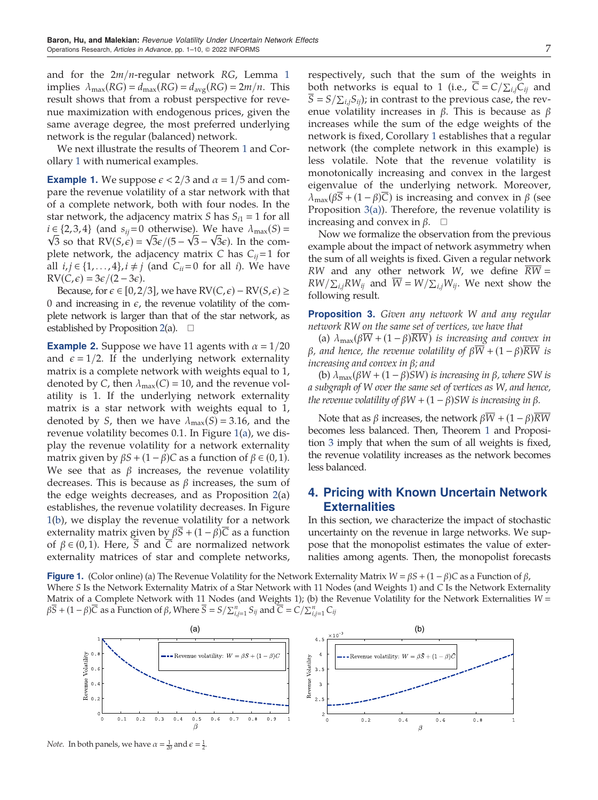<span id="page-7-0"></span>and for the  $2m/n$ -regular network RG, Lemma [1](#page-6-0) implies  $\lambda_{\text{max}}(RG) = d_{\text{max}}(RG) = d_{\text{avg}}(RG) = 2m/n$ . This result shows that from a robust perspective for revenue maximization with endogenous prices, given the same average degree, the most preferred underlying network is the regular (balanced) network.

We next illustrate the results of Theorem [1](#page-5-0) and Corollary [1](#page-6-0) with numerical examples.

**Example 1.** We suppose  $\epsilon$  < 2/3 and  $\alpha$  = 1/5 and compare the revenue volatility of a star network with that of a complete network, both with four nodes. In the star network, the adjacency matrix *S* has  $S_{i1} = 1$  for all  $i \in \{2,3,4\}$  (and  $s_{ij}=0$  otherwise). We have  $\lambda_{\text{max}}(S) =$  $\sqrt{3}$  so that  $RV(S, \epsilon) = \sqrt{3}\epsilon/(5 - \sqrt{3} - \sqrt{3}\epsilon)$ . In the complete network, the adjacency matrix C has  $C_{ij}$  = 1 for all  $i, j \in \{1,\ldots,4\}, i \neq j$  (and  $C_{ii}=0$  for all i). We have  $\text{RV}(C, \epsilon) = 3\epsilon/(2 - 3\epsilon).$ 

Because, for  $\epsilon \in [0, 2/3]$ , we have  $RV(C, \epsilon) - RV(S, \epsilon) \ge$ 0 and increasing in  $\epsilon$ , the revenue volatility of the complete network is larger than that of the star network, as established by Proposition [2](#page-6-0)(a).  $\Box$ 

**Example 2.** Suppose we have 11 agents with  $\alpha = 1/20$ and  $\epsilon = 1/2$ . If the underlying network externality matrix is a complete network with weights equal to 1, denoted by C, then  $\lambda_{\text{max}}(C) = 10$ , and the revenue volatility is 1. If the underlying network externality matrix is a star network with weights equal to 1, denoted by S, then we have  $\lambda_{\text{max}}(S) = 3.16$ , and the revenue volatility becomes 0.1. In Figure 1(a), we display the revenue volatility for a network externality matrix given by  $\beta S + (1 - \beta)C$  as a function of  $\beta \in (0, 1)$ . We see that as  $\beta$  increases, the revenue volatility decreases. This is because as  $\beta$  increases, the sum of the edge weights decreases, and as Proposition [2\(](#page-6-0)a) establishes, the revenue volatility decreases. In Figure 1(b), we display the revenue volatility for a network externality matrix given by  $\beta \overline{S} + (1 - \beta) \overline{C}$  as a function of  $\beta \in (0, 1)$ . Here,  $\overline{S}$  and  $\overline{C}$  are normalized network externality matrices of star and complete networks,

respectively, such that the sum of the weights in both networks is equal to 1 (i.e.,  $C = C / \sum_{i,j} C_{ij}$  and  $S = S/\sum_{i,j}S_{ij}$ ; in contrast to the previous case, the revenue volatility increases in  $β$ . This is because as  $β$ increases while the sum of the edge weights of the network is fixed, Corollary [1](#page-6-0) establishes that a regular network (the complete network in this example) is less volatile. Note that the revenue volatility is monotonically increasing and convex in the largest eigenvalue of the underlying network. Moreover,  $\lambda_{\text{max}}(\beta \overline{S} + (1 - \beta)\overline{C})$  is increasing and convex in  $\beta$  (see Proposition 3(a)). Therefore, the revenue volatility is increasing and convex in  $\beta$ .  $\square$ 

Now we formalize the observation from the previous example about the impact of network asymmetry when the sum of all weights is fixed. Given a regular network RW and any other network W, we define  $\overline{RW} =$  $RW/\sum_{i,j}RW_{ij}$  and  $W=W/\sum_{i,j}W_{ij}$ . We next show the following result.

**Proposition 3.** Given any network W and any regular network RW on the same set of vertices, we have that

(a)  $\lambda_{\text{max}}(\beta \overline{W} + (1 - \beta) \overline{RW})$  is increasing and convex in β, and hence, the revenue volatility of  $\beta \overline{W} + (1 - \beta) \overline{RW}$  is increasing and convex in β; and

(b)  $\lambda_{\text{max}}(\beta W + (1 - \beta)SW)$  is increasing in  $\beta$ , where SW is a subgraph of W over the same set of vertices as W, and hence, the revenue volatility of  $\beta W + (1 - \beta)SW$  is increasing in  $\beta$ .

Note that as β increases, the network  $\beta \overline{W} + (1 - \beta) \overline{RW}$ becomes less balanced. Then, Theorem [1](#page-5-0) and Proposition 3 imply that when the sum of all weights is fixed, the revenue volatility increases as the network becomes less balanced.

## 4. Pricing with Known Uncertain Network **Externalities**

In this section, we characterize the impact of stochastic uncertainty on the revenue in large networks. We suppose that the monopolist estimates the value of externalities among agents. Then, the monopolist forecasts

**Figure 1.** (Color online) (a) The Revenue Volatility for the Network Externality Matrix  $W = \beta S + (1 - \beta)C$  as a Function of  $\beta$ , Where S Is the Network Externality Matrix of a Star Network with 11 Nodes (and Weights 1) and C Is the Network Externality Matrix of a Complete Network with 11 Nodes (and Weights 1); (b) the Revenue Volatility for the Network Externalities  $W =$  $\beta \overline{S} + (1-\beta)\overline{C}$  as a Function of  $\beta$ , Where  $\overline{S} = S/\sum_{i,j=1}^n S_{ij}$  and  $\overline{C} = C/\sum_{i,j=1}^n C_{ij}$ 



*Note.* In both panels, we have  $\alpha = \frac{1}{20}$  and  $\epsilon = \frac{1}{2}$ .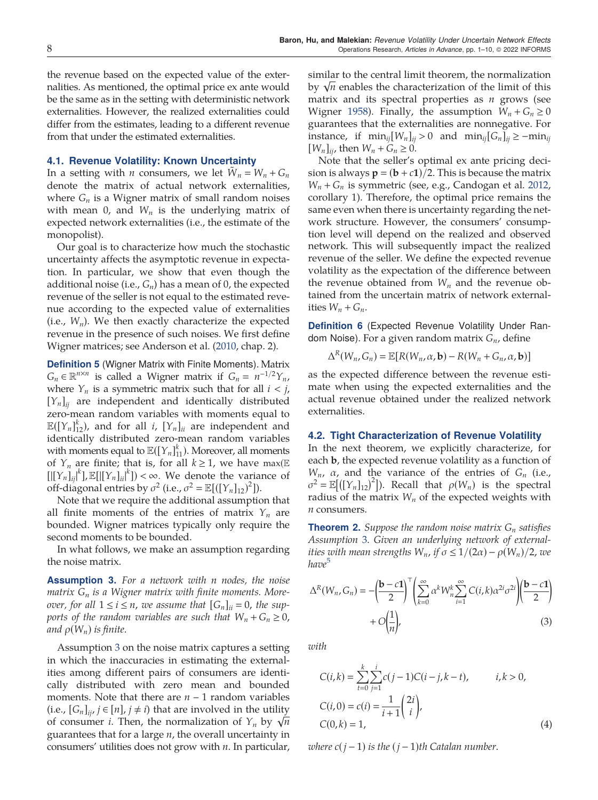<span id="page-8-0"></span>the revenue based on the expected value of the externalities. As mentioned, the optimal price ex ante would be the same as in the setting with deterministic network externalities. However, the realized externalities could differ from the estimates, leading to a different revenue from that under the estimated externalities.

#### 4.1. Revenue Volatility: Known Uncertainty

In a setting with *n* consumers, we let  $\tilde{W}_n = W_n + G_n$ denote the matrix of actual network externalities, where  $G_n$  is a Wigner matrix of small random noises with mean 0, and  $W_n$  is the underlying matrix of expected network externalities (i.e., the estimate of the monopolist).

Our goal is to characterize how much the stochastic uncertainty affects the asymptotic revenue in expectation. In particular, we show that even though the additional noise (i.e.,  $G_n$ ) has a mean of 0, the expected revenue of the seller is not equal to the estimated revenue according to the expected value of externalities (i.e.,  $W_n$ ). We then exactly characterize the expected revenue in the presence of such noises. We first define Wigner matrices; see Anderson et al. [\(2010](#page-10-0), chap. 2).

Definition 5 (Wigner Matrix with Finite Moments). Matrix  $G_n \in \mathbb{R}^{n \times n}$  is called a Wigner matrix if  $G_n = n^{-1/2}Y_n$ , where  $Y_n$  is a symmetric matrix such that for all  $i < j$ ,  $[Y_n]_{ii}$  are independent and identically distributed zero-mean random variables with moments equal to  $\mathbb{E}([Y_n]_{12}^k)$ , and for all i,  $[Y_n]_{ii}$  are independent and identically distributed zero-mean random variables with moments equal to  $\mathbb{E}([\{Y_n\}_1^k])$ . Moreover, all moments of  $Y_n$  are finite; that is, for all  $k \ge 1$ , we have max( $\mathbb E$  $[[[Y_n]_{ij}]^k]$ ,  $\mathbb{E}[[[Y_n]_{ii}]^k]) < \infty$ . We denote the variance of off-diagonal entries by  $\sigma^2$  (i.e.,  $\sigma^2 = \mathbb{E}[([\Upsilon_n]_{12})^2])$ .

Note that we require the additional assumption that all finite moments of the entries of matrix  $Y_n$  are bounded. Wigner matrices typically only require the second moments to be bounded.

In what follows, we make an assumption regarding the noise matrix.

**Assumption 3.** For a network with n nodes, the noise matrix  $G_n$  is a Wigner matrix with finite moments. Moreover, for all  $1 \le i \le n$ , we assume that  $[G_n]_{ii} = 0$ , the supports of the random variables are such that  $W_n + G_n \geq 0$ , and  $\rho(W_n)$  is finite.

Assumption 3 on the noise matrix captures a setting in which the inaccuracies in estimating the externalities among different pairs of consumers are identically distributed with zero mean and bounded moments. Note that there are  $n - 1$  random variables (i.e.,  $[G_n]_{ii}$ ,  $j \in [n]$ ,  $j \neq i$ ) that are involved in the utility of consumer *i*. Then, the normalization of  $Y_n$  by  $\sqrt{n}$ guarantees that for a large  $n$ , the overall uncertainty in consumers' utilities does not grow with  $n$ . In particular,

similar to the central limit theorem, the normalization by  $\sqrt{n}$  enables the characterization of the limit of this matrix and its spectral properties as  $n$  grows (see Wigner [1958](#page-10-0)). Finally, the assumption  $W_n + G_n \ge 0$ guarantees that the externalities are nonnegative. For instance, if  $\min_{ij} [W_n]_{ij} > 0$  and  $\min_{ij} [G_n]_{ij} \ge -\min_{ij}$  $[W_n]_{ii}$ , then  $W_n + G_n \geq 0$ .

Note that the seller's optimal ex ante pricing decision is always  $p = (b + c1)/2$ . This is because the matrix  $W_n + G_n$  is symmetric (see, e.g., Candogan et al. [2012](#page-10-0), corollary 1). Therefore, the optimal price remains the same even when there is uncertainty regarding the network structure. However, the consumers' consumption level will depend on the realized and observed network. This will subsequently impact the realized revenue of the seller. We define the expected revenue volatility as the expectation of the difference between the revenue obtained from  $W_n$  and the revenue obtained from the uncertain matrix of network externalities  $W_n + G_n$ .

**Definition 6** (Expected Revenue Volatility Under Random Noise). For a given random matrix  $G_n$ , define

$$
\Delta^R(W_n, G_n) = \mathbb{E}[R(W_n, \alpha, \mathbf{b}) - R(W_n + G_n, \alpha, \mathbf{b})]
$$

as the expected difference between the revenue estimate when using the expected externalities and the actual revenue obtained under the realized network externalities.

#### 4.2. Tight Characterization of Revenue Volatility

In the next theorem, we explicitly characterize, for each b, the expected revenue volatility as a function of  $W_n$ ,  $\alpha$ , and the variance of the entries of  $G_n$  (i.e.,  $\sigma^2 = \mathbb{E}[([Y_n]_{12})^2]$ ). Recall that  $\rho(W_n)$  is the spectral radius of the matrix  $W_n$  of the expected weights with  $n$  consumers.

**Theorem 2.** Suppose the random noise matrix  $G_n$  satisfies Assumption 3. Given an underlying network of externalities with mean strengths  $W_n$ , if  $\sigma \leq 1/(2\alpha) - \rho(W_n)/2$ , we have<sup>[5](#page-10-0)</sup>

$$
\Delta^{R}(W_{n}, G_{n}) = -\left(\frac{\mathbf{b} - c\mathbf{1}}{2}\right)^{\top} \left(\sum_{k=0}^{\infty} \alpha^{k} W_{n}^{k} \sum_{i=1}^{\infty} C(i,k) \alpha^{2i} \sigma^{2i} \right) \left(\frac{\mathbf{b} - c\mathbf{1}}{2}\right) + O\left(\frac{1}{n}\right),
$$
\n(3)

with

$$
C(i,k) = \sum_{t=0}^{k} \sum_{j=1}^{i} c(j-1)C(i-j,k-t), \qquad i,k > 0,
$$
  
\n
$$
C(i,0) = c(i) = \frac{1}{i+1} \left(\frac{2i}{i}\right),
$$
  
\n
$$
C(0,k) = 1,
$$
\n(4)

where  $c(j-1)$  is the  $(j-1)$ th Catalan number.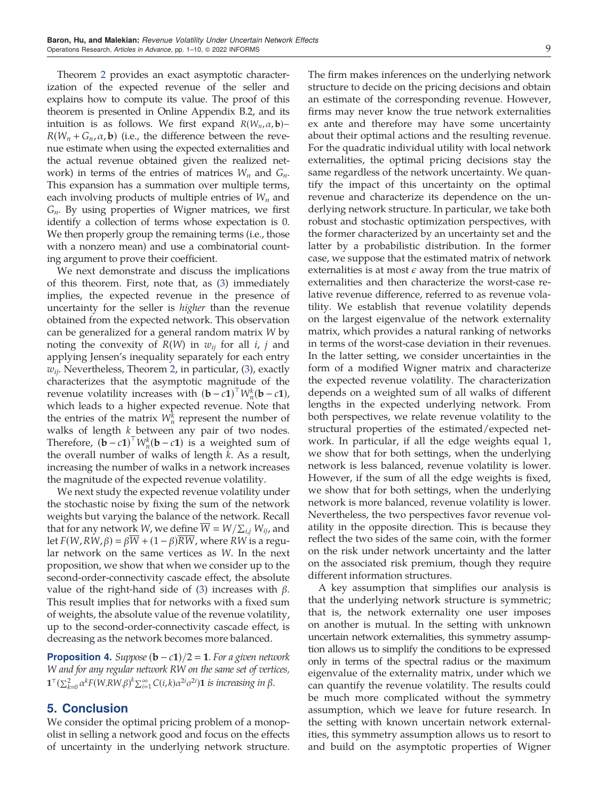<span id="page-9-0"></span>Theorem [2](#page-8-0) provides an exact asymptotic characterization of the expected revenue of the seller and explains how to compute its value. The proof of this theorem is presented in Online Appendix B.2, and its intuition is as follows. We first expand  $R(W_n, \alpha, \mathbf{b})$ - $R(W_n + G_n, \alpha, \mathbf{b})$  (i.e., the difference between the revenue estimate when using the expected externalities and the actual revenue obtained given the realized network) in terms of the entries of matrices  $W_n$  and  $G_n$ . This expansion has a summation over multiple terms, each involving products of multiple entries of  $W_n$  and  $G_n$ . By using properties of Wigner matrices, we first identify a collection of terms whose expectation is 0. We then properly group the remaining terms (i.e., those with a nonzero mean) and use a combinatorial counting argument to prove their coefficient.

We next demonstrate and discuss the implications of this theorem. First, note that, as [\(3](#page-8-0)) immediately implies, the expected revenue in the presence of uncertainty for the seller is higher than the revenue obtained from the expected network. This observation can be generalized for a general random matrix W by noting the convexity of  $R(W)$  in  $w_{ij}$  for all *i*, *j* and applying Jensen's inequality separately for each entry  $w_{ii}$ . Nevertheless, Theorem [2](#page-8-0), in particular, [\(3](#page-8-0)), exactly characterizes that the asymptotic magnitude of the revenue volatility increases with  $(b - c1)^{\top} W_n^k(b - c1)$ ,<br>which leads to a higher expected revenue. Note that which leads to a higher expected revenue. Note that the entries of the matrix  $W_n^k$  represent the number of walks of length  $k$  between any pair of two nodes. Therefore,  $(b - c1)^{\top} W_n^k(b - c1)$  is a weighted sum of<br>the overall number of walks of length k, As a result the overall number of walks of length k. As a result, increasing the number of walks in a network increases the magnitude of the expected revenue volatility.

We next study the expected revenue volatility under the stochastic noise by fixing the sum of the network weights but varying the balance of the network. Recall that for any network W, we define  $\overline{W} = W/\sum_{i,j} W_{ij}$ , and let  $F(W, RW, \beta) = \beta \overline{W} + (1 - \beta) \overline{RW}$ , where RW is a regular network on the same vertices as W. In the next proposition, we show that when we consider up to the second-order-connectivity cascade effect, the absolute value of the right-hand side of [\(3\)](#page-8-0) increases with  $β$ . This result implies that for networks with a fixed sum of weights, the absolute value of the revenue volatility, up to the second-order-connectivity cascade effect, is decreasing as the network becomes more balanced.

**Proposition 4.** Suppose  $(b - c1)/2 = 1$ . For a given network W and for any regular network RW on the same set of vertices,  $\mathbf{1}^{\top}(\sum_{k=0}^{2}\alpha^{k}F(W,RW,\beta)^{k}\sum_{i=1}^{\infty}C(i,k)\alpha^{2i}\sigma^{2i})\mathbf{1}$  is increasing in  $\beta$ .

## 5. Conclusion

We consider the optimal pricing problem of a monopolist in selling a network good and focus on the effects of uncertainty in the underlying network structure. The firm makes inferences on the underlying network structure to decide on the pricing decisions and obtain an estimate of the corresponding revenue. However, firms may never know the true network externalities ex ante and therefore may have some uncertainty about their optimal actions and the resulting revenue. For the quadratic individual utility with local network externalities, the optimal pricing decisions stay the same regardless of the network uncertainty. We quantify the impact of this uncertainty on the optimal revenue and characterize its dependence on the underlying network structure. In particular, we take both robust and stochastic optimization perspectives, with the former characterized by an uncertainty set and the latter by a probabilistic distribution. In the former case, we suppose that the estimated matrix of network externalities is at most  $\epsilon$  away from the true matrix of externalities and then characterize the worst-case relative revenue difference, referred to as revenue volatility. We establish that revenue volatility depends on the largest eigenvalue of the network externality matrix, which provides a natural ranking of networks in terms of the worst-case deviation in their revenues. In the latter setting, we consider uncertainties in the form of a modified Wigner matrix and characterize the expected revenue volatility. The characterization depends on a weighted sum of all walks of different lengths in the expected underlying network. From both perspectives, we relate revenue volatility to the structural properties of the estimated/expected network. In particular, if all the edge weights equal 1, we show that for both settings, when the underlying network is less balanced, revenue volatility is lower. However, if the sum of all the edge weights is fixed, we show that for both settings, when the underlying network is more balanced, revenue volatility is lower. Nevertheless, the two perspectives favor revenue volatility in the opposite direction. This is because they reflect the two sides of the same coin, with the former on the risk under network uncertainty and the latter on the associated risk premium, though they require different information structures.

A key assumption that simplifies our analysis is that the underlying network structure is symmetric; that is, the network externality one user imposes on another is mutual. In the setting with unknown uncertain network externalities, this symmetry assumption allows us to simplify the conditions to be expressed only in terms of the spectral radius or the maximum eigenvalue of the externality matrix, under which we can quantify the revenue volatility. The results could be much more complicated without the symmetry assumption, which we leave for future research. In the setting with known uncertain network externalities, this symmetry assumption allows us to resort to and build on the asymptotic properties of Wigner